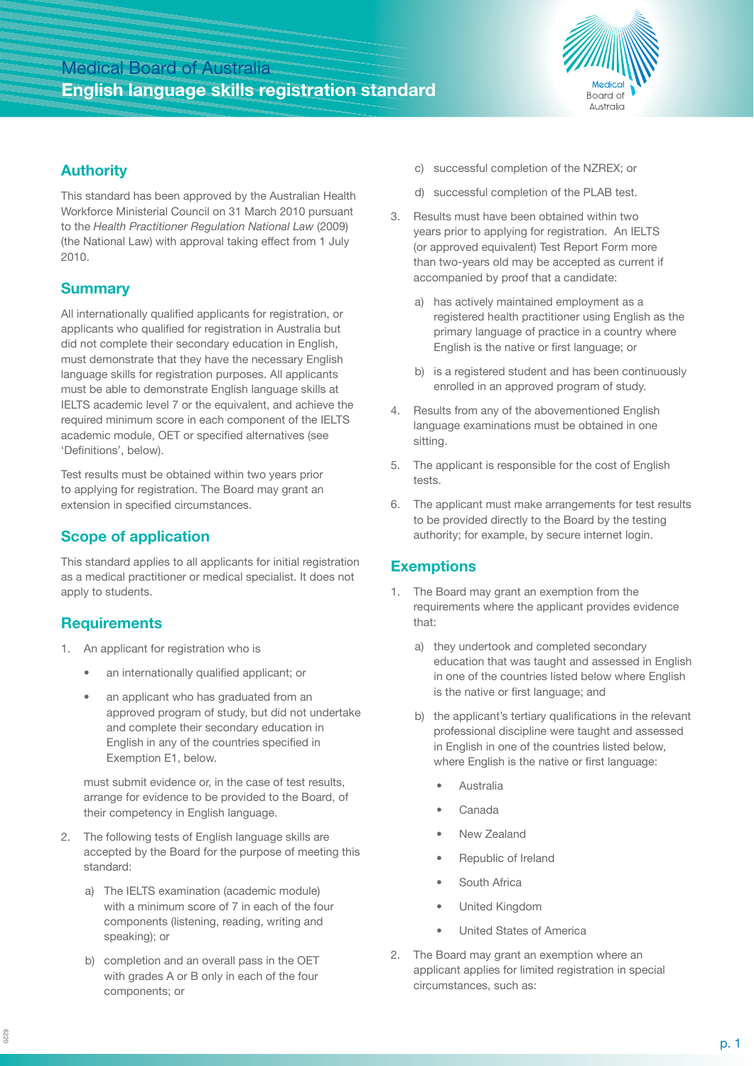# Medical Board of Australia **English language skills registration standard**



#### **Authority**

This standard has been approved by the Australian Health Workforce Ministerial Council on 31 March 2010 pursuant to the *Health Practitioner Regulation National Law* (2009) (the National Law) with approval taking effect from 1 July 2010.

### **Summary**

All internationally qualified applicants for registration, or applicants who qualified for registration in Australia but did not complete their secondary education in English, must demonstrate that they have the necessary English language skills for registration purposes. All applicants must be able to demonstrate English language skills at IELTS academic level 7 or the equivalent, and achieve the required minimum score in each component of the IELTS academic module, OET or specified alternatives (see 'Definitions', below).

Test results must be obtained within two years prior to applying for registration. The Board may grant an extension in specified circumstances.

## **Scope of application**

This standard applies to all applicants for initial registration as a medical practitioner or medical specialist. It does not apply to students.

### **Requirements**

- 1. An applicant for registration who is
	- an internationally qualified applicant; or
	- an applicant who has graduated from an approved program of study, but did not undertake and complete their secondary education in English in any of the countries specified in Exemption E1, below.

must submit evidence or, in the case of test results, arrange for evidence to be provided to the Board, of their competency in English language.

- 2. The following tests of English language skills are accepted by the Board for the purpose of meeting this standard:
	- a) The IELTS examination (academic module) with a minimum score of 7 in each of the four components (listening, reading, writing and speaking); or
	- b) completion and an overall pass in the OET with grades A or B only in each of the four components; or
- c) successful completion of the NZREX; or
- d) successful completion of the PLAB test.
- 3. Results must have been obtained within two years prior to applying for registration. An IELTS (or approved equivalent) Test Report Form more than two-years old may be accepted as current if accompanied by proof that a candidate:
	- a) has actively maintained employment as a registered health practitioner using English as the primary language of practice in a country where English is the native or first language; or
	- b) is a registered student and has been continuously enrolled in an approved program of study.
- 4. Results from any of the abovementioned English language examinations must be obtained in one sitting.
- 5. The applicant is responsible for the cost of English tests.
- 6. The applicant must make arrangements for test results to be provided directly to the Board by the testing authority; for example, by secure internet login.

#### **Exemptions**

- 1. The Board may grant an exemption from the requirements where the applicant provides evidence that:
	- a) they undertook and completed secondary education that was taught and assessed in English in one of the countries listed below where English is the native or first language; and
	- b) the applicant's tertiary qualifications in the relevant professional discipline were taught and assessed in English in one of the countries listed below, where English is the native or first language:
		- Australia
		- Canada
		- New Zealand
		- Republic of Ireland
		- South Africa
		- United Kingdom
		- United States of America
- 2. The Board may grant an exemption where an applicant applies for limited registration in special circumstances, such as: